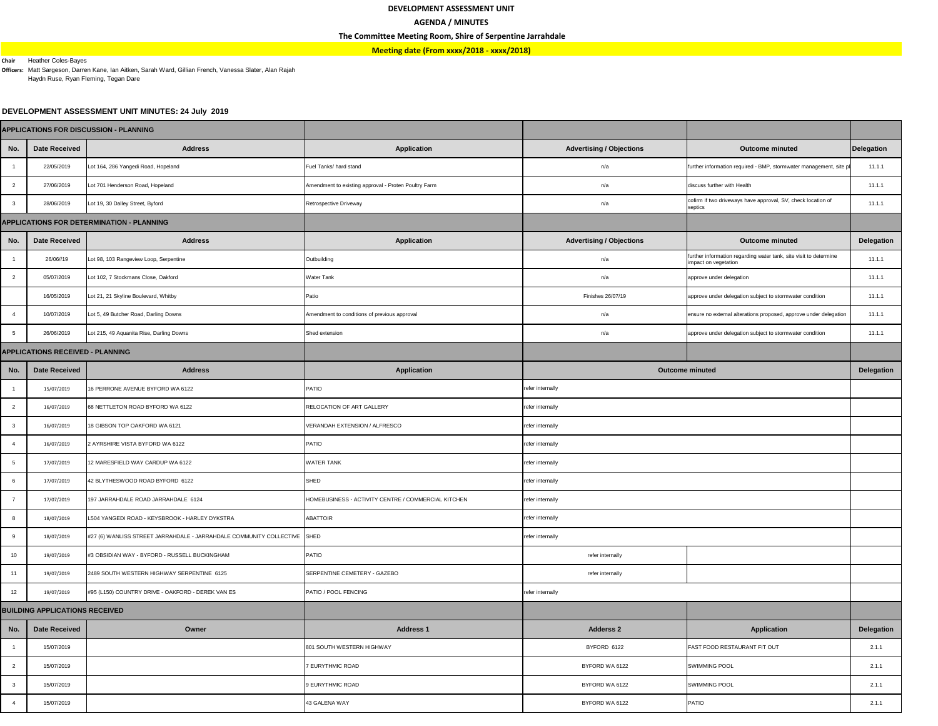**Chair** Heather Coles-Bayes

**Officers:** Matt Sargeson, Darren Kane, Ian Aitken, Sarah Ward, Gillian French, Vanessa Slater, Alan Rajah Haydn Ruse, Ryan Fleming, Tegan Dare

## **DEVELOPMENT ASSESSMENT UNIT MINUTES: 24 July 2019**

| gation   |
|----------|
| 11.1.1   |
| 11.1.1   |
| 11.1.1   |
|          |
| legation |
| 11.1.1   |
| 11.1.1   |
| 11.1.1   |
| 11.1.1   |
| 11.1.1   |
|          |
| legation |
|          |
|          |
|          |
|          |
|          |
|          |
|          |
|          |
|          |
|          |
|          |
|          |
|          |
| legation |
| 2.1.1    |
| 2.1.1    |
| 2.1.1    |
| 2.1.1    |

|                                       |                                         | <b>APPLICATIONS FOR DISCUSSION - PLANNING</b>                            |                                                      |                                 |                                                                                           |                   |  |  |
|---------------------------------------|-----------------------------------------|--------------------------------------------------------------------------|------------------------------------------------------|---------------------------------|-------------------------------------------------------------------------------------------|-------------------|--|--|
| No.                                   | <b>Date Received</b>                    | <b>Address</b>                                                           | <b>Application</b>                                   | <b>Advertising / Objections</b> | Delegation<br><b>Outcome minuted</b>                                                      |                   |  |  |
|                                       | 22/05/2019                              | Lot 164, 286 Yangedi Road, Hopeland                                      | Fuel Tanks/ hard stand                               | n/a                             | further information required - BMP, stormwater management, site pl                        | 11.1.1            |  |  |
|                                       | 27/06/2019                              | Lot 701 Henderson Road, Hopeland                                         | Amendment to existing approval - Proten Poultry Farm | n/a                             | discuss further with Health                                                               | 11.1.1            |  |  |
|                                       | 28/06/2019                              | Lot 19, 30 Dalley Street, Byford                                         | Retrospective Driveway                               | n/a                             | cofirm if two driveways have approval, SV, check location of<br>septics                   | 11.1.1            |  |  |
|                                       |                                         | <b>APPLICATIONS FOR DETERMINATION - PLANNING</b>                         |                                                      |                                 |                                                                                           |                   |  |  |
| No.                                   | <b>Date Received</b>                    | <b>Address</b>                                                           | <b>Application</b>                                   | <b>Advertising / Objections</b> | <b>Outcome minuted</b>                                                                    | <b>Delegation</b> |  |  |
|                                       | 26/06//19                               | Lot 98, 103 Rangeview Loop, Serpentine                                   | Outbuilding                                          | n/a                             | further information regarding water tank, site visit to determine<br>impact on vegetation | 11.1.1            |  |  |
|                                       | 05/07/2019                              | ot 102, 7 Stockmans Close, Oakford                                       | <b>Water Tank</b>                                    | n/a                             | approve under delegation                                                                  | 11.1.1            |  |  |
|                                       | 16/05/2019                              | Lot 21, 21 Skyline Boulevard, Whitby                                     | Patio                                                | Finishes 26/07/19               | approve under delegation subject to stormwater condition                                  | 11.1.1            |  |  |
|                                       | 10/07/2019                              | Lot 5, 49 Butcher Road, Darling Downs                                    | Amendment to conditions of previous approval         | n/a                             | ensure no external alterations proposed, approve under delegation                         | 11.1.1            |  |  |
|                                       | 26/06/2019                              | Lot 215, 49 Aquanita Rise, Darling Downs                                 | Shed extension                                       | n/a                             | approve under delegation subject to stormwater condition                                  | 11.1.1            |  |  |
|                                       | <b>APPLICATIONS RECEIVED - PLANNING</b> |                                                                          |                                                      |                                 |                                                                                           |                   |  |  |
| No.                                   | <b>Date Received</b>                    | <b>Address</b>                                                           | <b>Application</b>                                   | <b>Outcome minuted</b>          |                                                                                           | <b>Delegation</b> |  |  |
|                                       | 15/07/2019                              | 16 PERRONE AVENUE BYFORD WA 6122                                         | <b>PATIO</b>                                         | refer internally                |                                                                                           |                   |  |  |
|                                       | 16/07/2019                              | 68 NETTLETON ROAD BYFORD WA 6122                                         | RELOCATION OF ART GALLERY                            | refer internally                |                                                                                           |                   |  |  |
|                                       | 16/07/2019                              | 18 GIBSON TOP OAKFORD WA 6121                                            | VERANDAH EXTENSION / ALFRESCO                        | refer internally                |                                                                                           |                   |  |  |
|                                       | 16/07/2019                              | 2 AYRSHIRE VISTA BYFORD WA 6122                                          | PATIO                                                | refer internally                |                                                                                           |                   |  |  |
|                                       | 17/07/2019                              | 12 MARESFIELD WAY CARDUP WA 6122                                         | <b>WATER TANK</b>                                    | refer internally                |                                                                                           |                   |  |  |
|                                       | 17/07/2019                              | 42 BLYTHESWOOD ROAD BYFORD 6122                                          | SHED                                                 | refer internally                |                                                                                           |                   |  |  |
|                                       | 17/07/2019                              | 197 JARRAHDALE ROAD JARRAHDALE 6124                                      | HOMEBUSINESS - ACTIVITY CENTRE / COMMERCIAL KITCHEN  | refer internally                |                                                                                           |                   |  |  |
|                                       | 18/07/2019                              | L504 YANGEDI ROAD - KEYSBROOK - HARLEY DYKSTRA                           | ABATTOIR                                             | refer internally                |                                                                                           |                   |  |  |
|                                       | 18/07/2019                              | #27 (6) WANLISS STREET JARRAHDALE - JARRAHDALE COMMUNITY COLLECTIVE SHED |                                                      | refer internally                |                                                                                           |                   |  |  |
| 10                                    | 19/07/2019                              | #3 OBSIDIAN WAY - BYFORD - RUSSELL BUCKINGHAM                            | <b>PATIO</b>                                         | refer internally                |                                                                                           |                   |  |  |
| 11                                    | 19/07/2019                              | 2489 SOUTH WESTERN HIGHWAY SERPENTINE 6125                               | SERPENTINE CEMETERY - GAZEBO                         | refer internally                |                                                                                           |                   |  |  |
| 12                                    | 19/07/2019                              | #95 (L150) COUNTRY DRIVE - OAKFORD - DEREK VAN ES                        | <b>PATIO / POOL FENCING</b>                          | refer internally                |                                                                                           |                   |  |  |
| <b>BUILDING APPLICATIONS RECEIVED</b> |                                         |                                                                          |                                                      |                                 |                                                                                           |                   |  |  |
| No.                                   | <b>Date Received</b>                    | Owner                                                                    | <b>Address 1</b>                                     | <b>Adderss 2</b>                | <b>Application</b>                                                                        | <b>Delegation</b> |  |  |
|                                       | 15/07/2019                              |                                                                          | 801 SOUTH WESTERN HIGHWAY                            | BYFORD 6122                     | <b>FAST FOOD RESTAURANT FIT OUT</b>                                                       | 2.1.1             |  |  |
|                                       | 15/07/2019                              |                                                                          | 7 EURYTHMIC ROAD                                     | BYFORD WA 6122                  | SWIMMING POOL                                                                             | 2.1.1             |  |  |
|                                       | 15/07/2019                              |                                                                          | 9 EURYTHMIC ROAD                                     | BYFORD WA 6122                  | <b>SWIMMING POOL</b>                                                                      | 2.1.1             |  |  |
|                                       | 15/07/2019                              |                                                                          | 43 GALENA WAY                                        | BYFORD WA 6122                  | PATIO                                                                                     | 2.1.1             |  |  |
|                                       |                                         |                                                                          |                                                      |                                 |                                                                                           |                   |  |  |